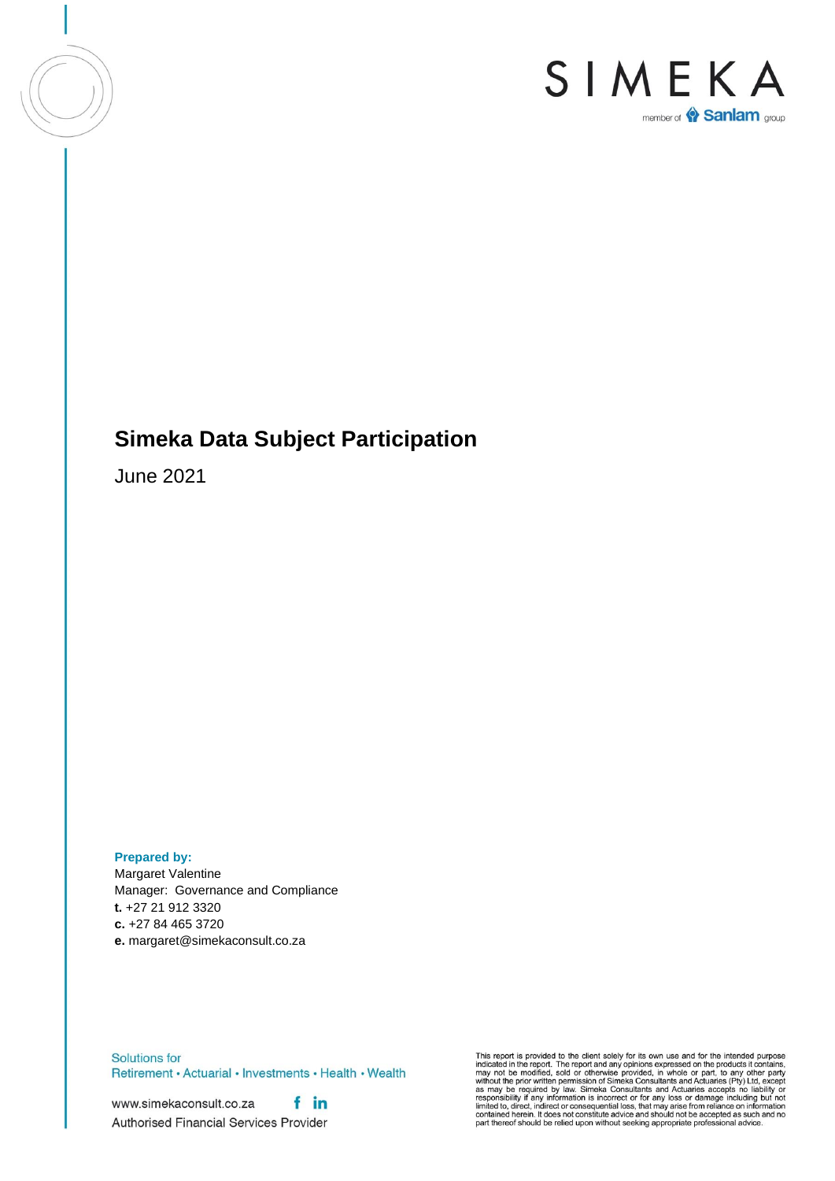

## **Simeka Data Subject Participation**

June 2021

**Prepared by:** Margaret Valentine Manager: Governance and Compliance **t.** +27 21 912 3320 **c.** +27 84 465 3720 **e.** margaret@simekaconsult.co.za

Solutions for Retirement · Actuarial · Investments · Health · Wealth

f in www.simekaconsult.co.za Authorised Financial Services Provider This report is provided to the client solely for its own use and for the intended purpose<br>indicated in the report. The report and any opinions expressed on the products it contains,<br>may not be modified, sold or otherwise p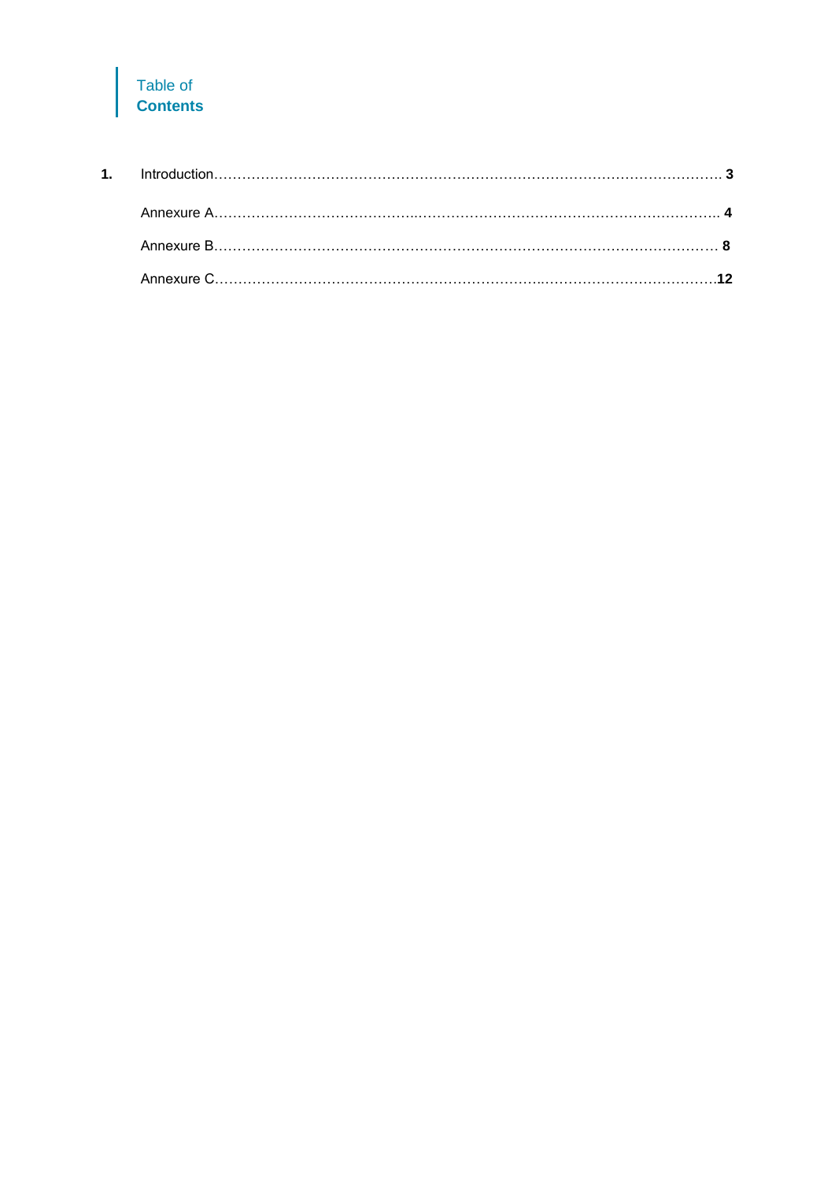### Table of **Contents**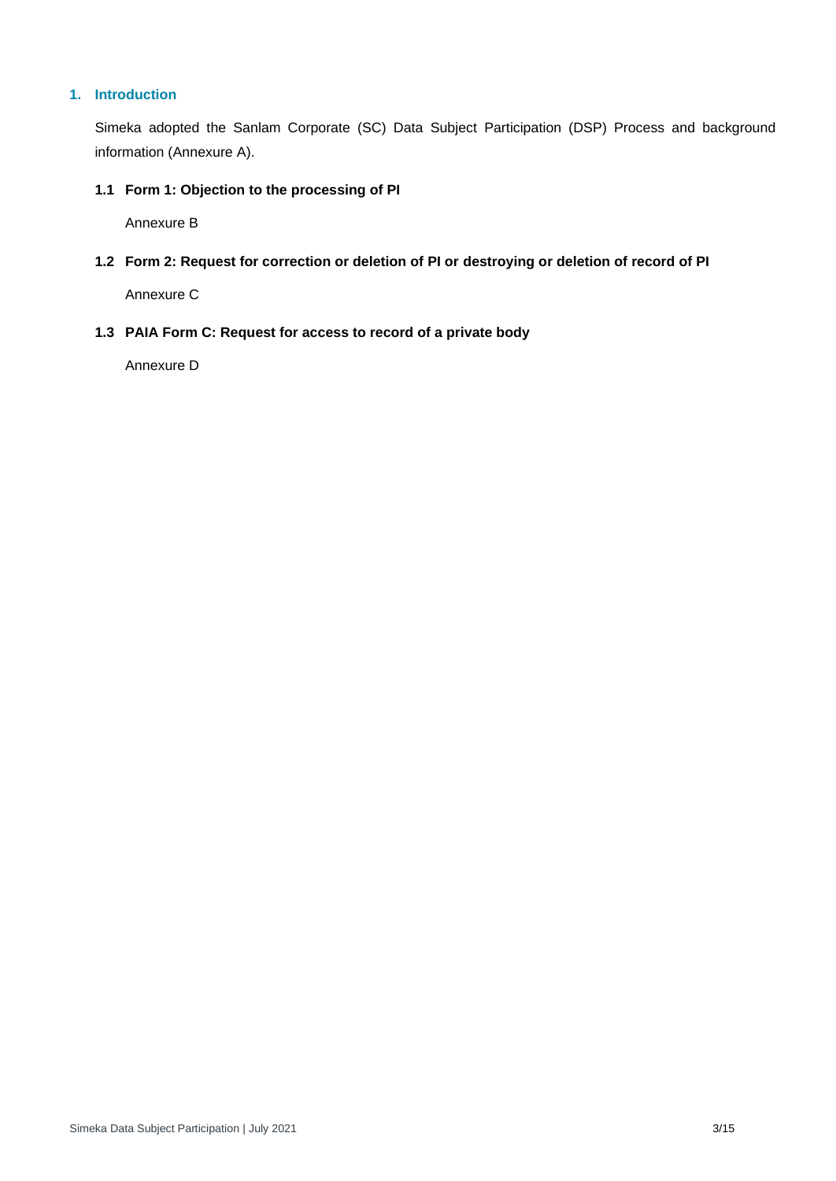#### **1. Introduction**

Simeka adopted the Sanlam Corporate (SC) Data Subject Participation (DSP) Process and background information (Annexure A).

#### **1.1 Form 1: Objection to the processing of PI**

Annexure B

**1.2 Form 2: Request for correction or deletion of PI or destroying or deletion of record of PI**

Annexure C

**1.3 PAIA Form C: Request for access to record of a private body**

Annexure D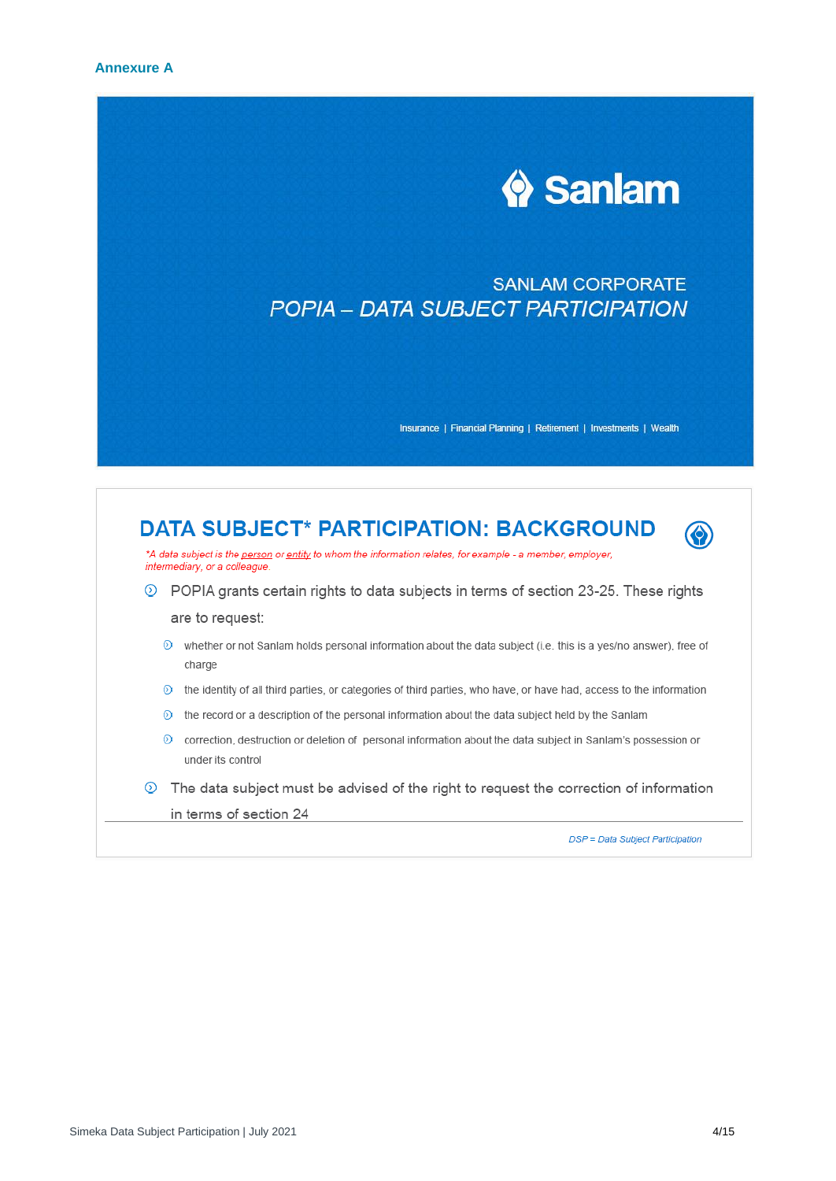

## **SANLAM CORPORATE** POPIA - DATA SUBJECT PARTICIPATION

Insurance | Financial Planning | Retirement | Investments | Wealth

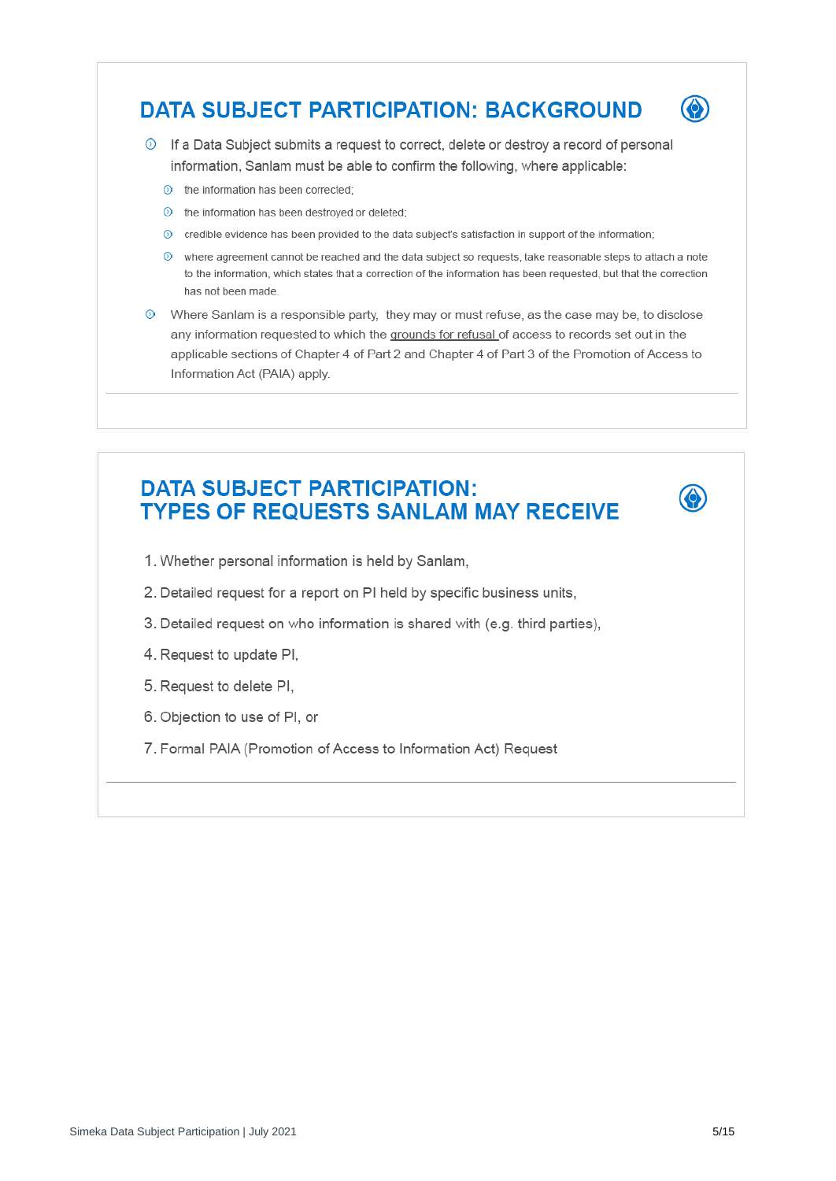## **DATA SUBJECT PARTICIPATION: BACKGROUND**



♦

**The Data Subject submits a request to correct, delete or destroy a record of personal** information, Sanlam must be able to confirm the following, where applicable:

- $\odot$  the information has been corrected:
- $\odot$  the information has been destroyed or deleted;
- O credible evidence has been provided to the data subject's satisfaction in support of the information;
- $\circled{0}$  where agreement cannot be reached and the data subject so requests, take reasonable steps to attach a note to the information, which states that a correction of the information has been requested, but that the correction has not been made
- $\odot$  Where Sanlam is a responsible party, they may or must refuse, as the case may be, to disclose any information requested to which the grounds for refusal of access to records set out in the applicable sections of Chapter 4 of Part 2 and Chapter 4 of Part 3 of the Promotion of Access to Information Act (PAIA) apply.

## **DATA SUBJECT PARTICIPATION: TYPES OF REQUESTS SANLAM MAY RECEIVE**

- 1. Whether personal information is held by Sanlam,
- 2. Detailed request for a report on PI held by specific business units,
- 3. Detailed request on who information is shared with (e.g. third parties),
- 4. Request to update PI,
- 5. Request to delete PI,
- 6. Objection to use of PI, or
- 7. Formal PAIA (Promotion of Access to Information Act) Request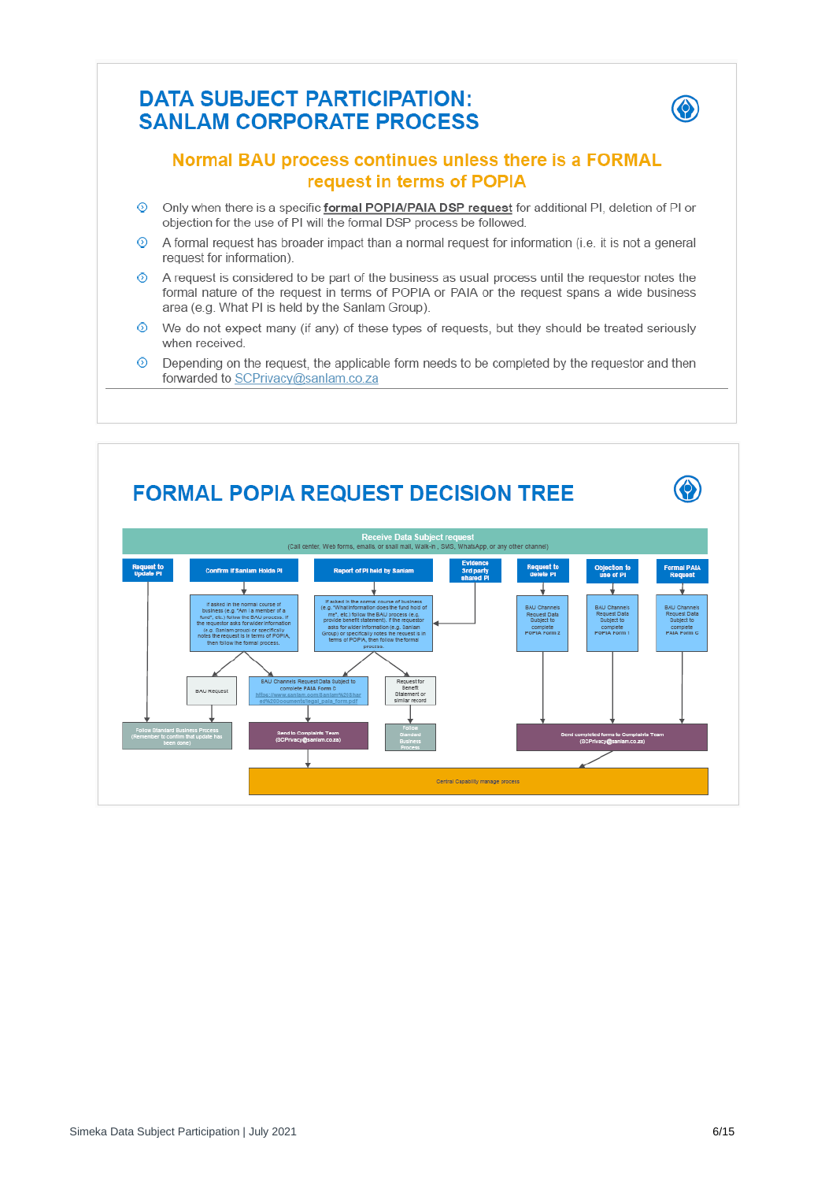## **DATA SUBJECT PARTICIPATION: SANLAM CORPORATE PROCESS**



### Normal BAU process continues unless there is a FORMAL request in terms of POPIA

- Only when there is a specific formal POPIA/PAIA DSP request for additional PI, deletion of PI or  $\odot$ objection for the use of PI will the formal DSP process be followed.
- െ A formal request has broader impact than a normal request for information (i.e. it is not a general request for information).
- A request is considered to be part of the business as usual process until the requestor notes the െ formal nature of the request in terms of POPIA or PAIA or the request spans a wide business area (e.g. What PI is held by the Sanlam Group).
- We do not expect many (if any) of these types of requests, but they should be treated seriously ⊙ when received.
- െ Depending on the request, the applicable form needs to be completed by the requestor and then forwarded to SCPrivacy@sanlam.co.za

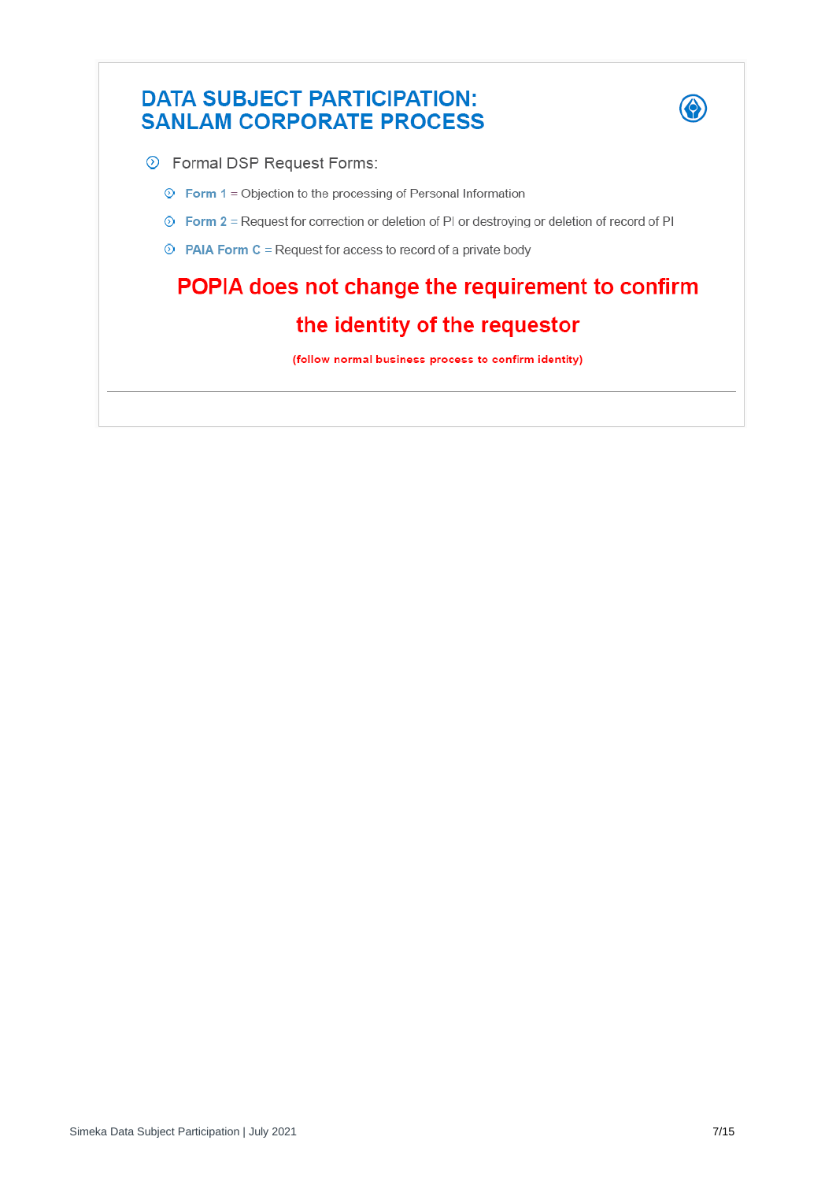## **DATA SUBJECT PARTICIPATION: SANLAM CORPORATE PROCESS**



- **Example DSP Request Forms:** 
	- $\circledcirc$  Form 1 = Objection to the processing of Personal Information
	- **Example 3** Form 2 = Request for correction or deletion of PI or destroying or deletion of record of PI
	- $\odot$  PAIA Form C = Request for access to record of a private body

# POPIA does not change the requirement to confirm the identity of the requestor

(follow normal business process to confirm identity)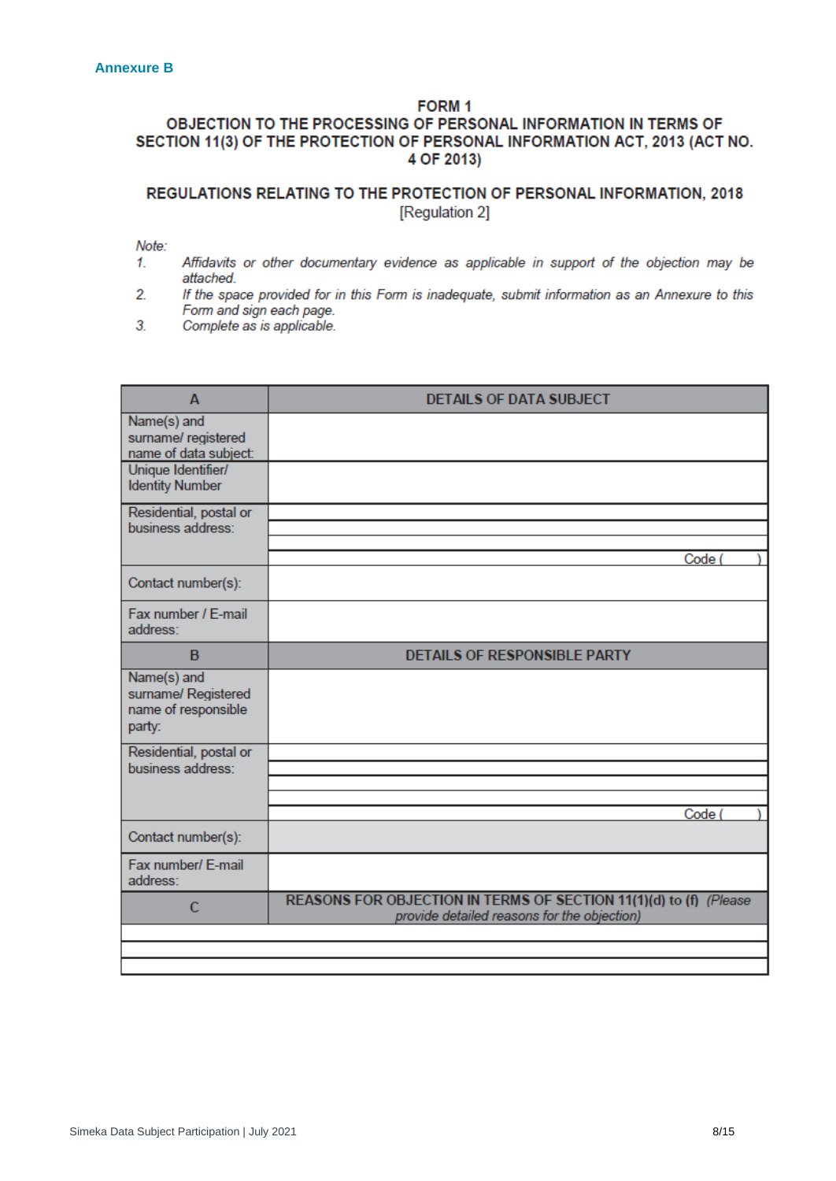### FORM<sub>1</sub>

#### OBJECTION TO THE PROCESSING OF PERSONAL INFORMATION IN TERMS OF SECTION 11(3) OF THE PROTECTION OF PERSONAL INFORMATION ACT, 2013 (ACT NO. 4 OF 2013)

#### REGULATIONS RELATING TO THE PROTECTION OF PERSONAL INFORMATION, 2018 [Regulation 2]

Note:

- $1<sub>1</sub>$ Affidavits or other documentary evidence as applicable in support of the objection may be attached.
- $\overline{2}$ If the space provided for in this Form is inadequate, submit information as an Annexure to this Form and sign each page.
- 3. Complete as is applicable.

| A                                                                   | <b>DETAILS OF DATA SUBJECT</b>                                                                                   |
|---------------------------------------------------------------------|------------------------------------------------------------------------------------------------------------------|
| Name(s) and<br>surname/ registered<br>name of data subject:         |                                                                                                                  |
| Unique Identifier/<br><b>Identity Number</b>                        |                                                                                                                  |
| Residential, postal or<br>business address:                         |                                                                                                                  |
|                                                                     | Code (                                                                                                           |
| Contact number(s):                                                  |                                                                                                                  |
| Fax number / E-mail<br>address:                                     |                                                                                                                  |
| B                                                                   | <b>DETAILS OF RESPONSIBLE PARTY</b>                                                                              |
| Name(s) and<br>surname/ Registered<br>name of responsible<br>party: |                                                                                                                  |
| Residential, postal or<br>business address:                         |                                                                                                                  |
|                                                                     |                                                                                                                  |
|                                                                     | Code (                                                                                                           |
| Contact number(s):                                                  |                                                                                                                  |
| Fax number/ E-mail<br>address:                                      |                                                                                                                  |
| C                                                                   | REASONS FOR OBJECTION IN TERMS OF SECTION 11(1)(d) to (f) (Please<br>provide detailed reasons for the objection) |
|                                                                     |                                                                                                                  |
|                                                                     |                                                                                                                  |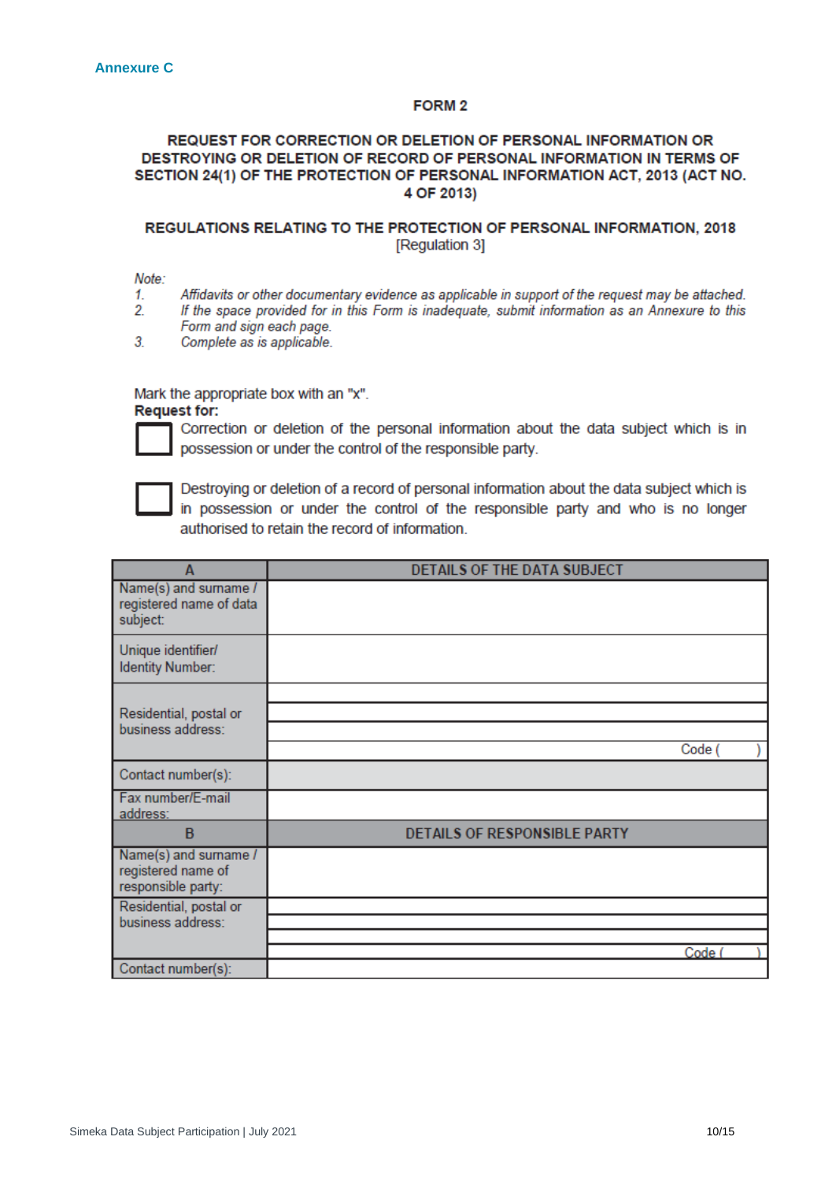#### FORM<sub>2</sub>

#### REQUEST FOR CORRECTION OR DELETION OF PERSONAL INFORMATION OR DESTROYING OR DELETION OF RECORD OF PERSONAL INFORMATION IN TERMS OF SECTION 24(1) OF THE PROTECTION OF PERSONAL INFORMATION ACT, 2013 (ACT NO. 4 OF 2013)

#### REGULATIONS RELATING TO THE PROTECTION OF PERSONAL INFORMATION, 2018 [Regulation 3]

Note:

- 1. Affidavits or other documentary evidence as applicable in support of the request may be attached.
- $2.$ If the space provided for in this Form is inadequate, submit information as an Annexure to this Form and sign each page.
- $3.$ Complete as is applicable.

Mark the appropriate box with an "x".

**Request for:** 



Correction or deletion of the personal information about the data subject which is in possession or under the control of the responsible party.



Destroying or deletion of a record of personal information about the data subject which is in possession or under the control of the responsible party and who is no longer authorised to retain the record of information.

| A                                                                 | DETAILS OF THE DATA SUBJECT         |        |  |
|-------------------------------------------------------------------|-------------------------------------|--------|--|
| Name(s) and surname /<br>registered name of data<br>subject:      |                                     |        |  |
| Unique identifier/<br><b>Identity Number:</b>                     |                                     |        |  |
|                                                                   |                                     |        |  |
| Residential, postal or                                            |                                     |        |  |
| business address:                                                 |                                     |        |  |
|                                                                   |                                     | Code ( |  |
| Contact number(s):                                                |                                     |        |  |
| Fax number/E-mail<br>address:                                     |                                     |        |  |
| B                                                                 | <b>DETAILS OF RESPONSIBLE PARTY</b> |        |  |
| Name(s) and surname /<br>registered name of<br>responsible party: |                                     |        |  |
| Residential, postal or                                            |                                     |        |  |
| business address:                                                 |                                     |        |  |
|                                                                   |                                     | Code ( |  |
| Contact number(s):                                                |                                     |        |  |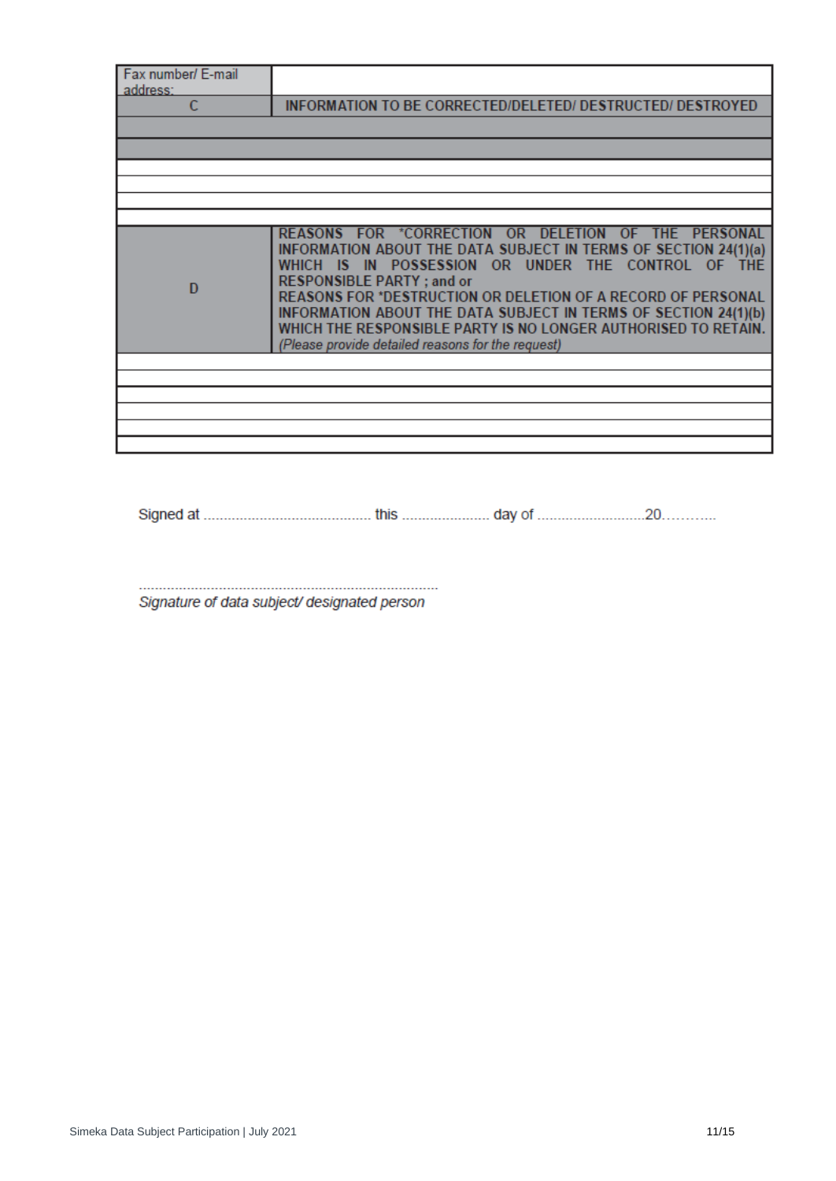| Fax number/ E-mail<br>address: |                                                                                                                                                                                                                                                                                                                                                                                                                                                                            |
|--------------------------------|----------------------------------------------------------------------------------------------------------------------------------------------------------------------------------------------------------------------------------------------------------------------------------------------------------------------------------------------------------------------------------------------------------------------------------------------------------------------------|
|                                | <b>INFORMATION TO BE CORRECTED/DELETED/ DESTRUCTED/ DESTROYED</b>                                                                                                                                                                                                                                                                                                                                                                                                          |
|                                |                                                                                                                                                                                                                                                                                                                                                                                                                                                                            |
|                                |                                                                                                                                                                                                                                                                                                                                                                                                                                                                            |
|                                |                                                                                                                                                                                                                                                                                                                                                                                                                                                                            |
|                                |                                                                                                                                                                                                                                                                                                                                                                                                                                                                            |
|                                |                                                                                                                                                                                                                                                                                                                                                                                                                                                                            |
| D                              | REASONS FOR *CORRECTION OR DELETION OF THE PERSONAL<br>INFORMATION ABOUT THE DATA SUBJECT IN TERMS OF SECTION 24(1)(a)<br>WHICH IS IN POSSESSION OR UNDER THE CONTROL OF THE<br><b>RESPONSIBLE PARTY; and or</b><br>REASONS FOR *DESTRUCTION OR DELETION OF A RECORD OF PERSONAL<br>INFORMATION ABOUT THE DATA SUBJECT IN TERMS OF SECTION 24(1)(b)<br>WHICH THE RESPONSIBLE PARTY IS NO LONGER AUTHORISED TO RETAIN.<br>(Please provide detailed reasons for the request) |
|                                |                                                                                                                                                                                                                                                                                                                                                                                                                                                                            |
|                                |                                                                                                                                                                                                                                                                                                                                                                                                                                                                            |
|                                |                                                                                                                                                                                                                                                                                                                                                                                                                                                                            |
|                                |                                                                                                                                                                                                                                                                                                                                                                                                                                                                            |
|                                |                                                                                                                                                                                                                                                                                                                                                                                                                                                                            |

Signature of data subject/ designated person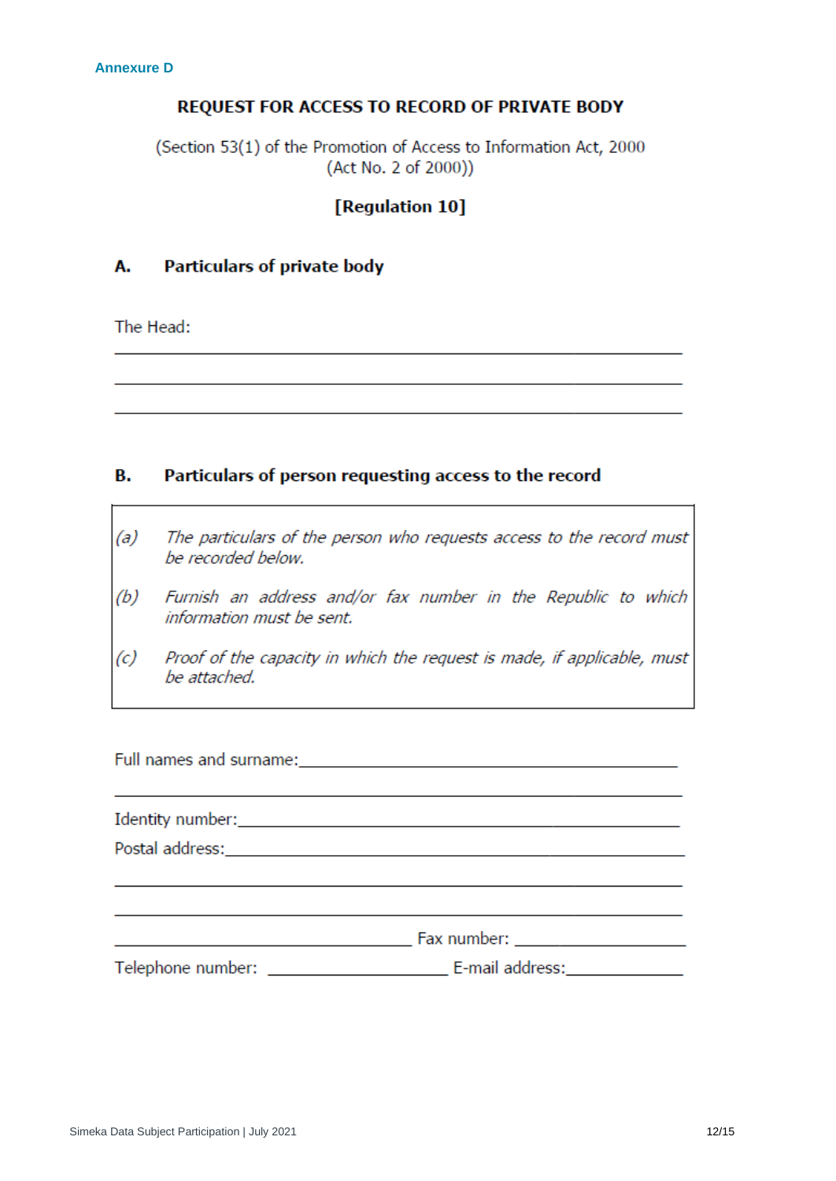#### REQUEST FOR ACCESS TO RECORD OF PRIVATE BODY

(Section 53(1) of the Promotion of Access to Information Act, 2000 (Act No. 2 of 2000))

### [Regulation 10]

#### Α. **Particulars of private body**

The Head:

#### в. Particulars of person requesting access to the record

- $(a)$ The particulars of the person who requests access to the record must be recorded below.
- $(b)$ Furnish an address and/or fax number in the Republic to which information must be sent.
- $(c)$ Proof of the capacity in which the request is made, if applicable, must be attached.

| Identity number: University of the state of the state of the state of the state of the state of the state of the state of the state of the state of the state of the state of the state of the state of the state of the state |                                                                                                                                                                                                                                |  |
|--------------------------------------------------------------------------------------------------------------------------------------------------------------------------------------------------------------------------------|--------------------------------------------------------------------------------------------------------------------------------------------------------------------------------------------------------------------------------|--|
|                                                                                                                                                                                                                                |                                                                                                                                                                                                                                |  |
|                                                                                                                                                                                                                                |                                                                                                                                                                                                                                |  |
|                                                                                                                                                                                                                                |                                                                                                                                                                                                                                |  |
|                                                                                                                                                                                                                                | Fax number: New York Street, New York Street, New York Street, New York Street, New York Street, New York Street, New York Street, New York Street, New York Street, New York Street, New York Street, New York Street, New Yo |  |
| Telephone number: ___________                                                                                                                                                                                                  | E-mail address:                                                                                                                                                                                                                |  |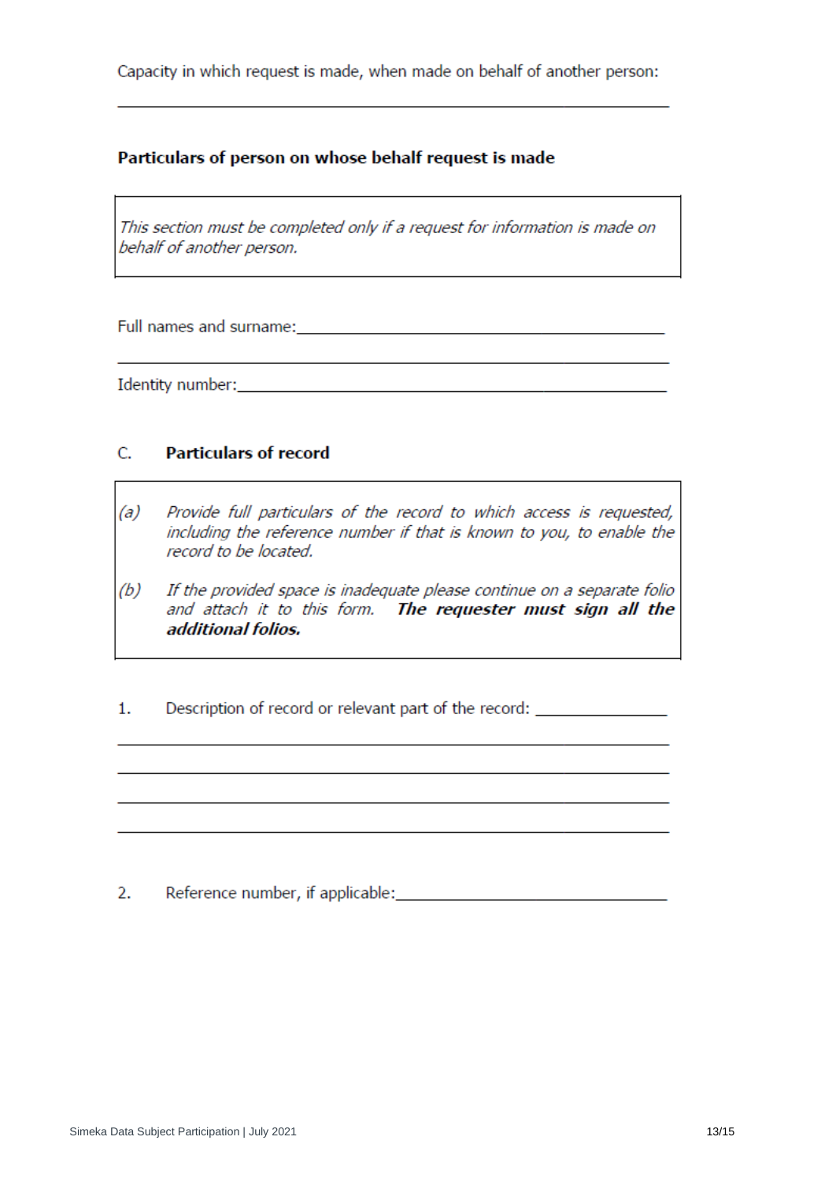Capacity in which request is made, when made on behalf of another person:

### Particulars of person on whose behalf request is made

This section must be completed only if a request for information is made on behalf of another person.

Full names and surname: The contract of the contract of the contract of the contract of the contract of the contract of the contract of the contract of the contract of the contract of the contract of the contract of the co

Identity number: and the state of the state of the state of the state of the state of the state of the state of the state of the state of the state of the state of the state of the state of the state of the state of the st

#### $C_{n}$ **Particulars of record**

- $(a)$ Provide full particulars of the record to which access is requested, including the reference number if that is known to you, to enable the record to be located.
- $(b)$ If the provided space is inadequate please continue on a separate folio and attach it to this form. The requester must sign all the additional folios.
- Description of record or relevant part of the record: \_\_\_\_\_\_\_\_\_\_\_\_\_\_\_\_\_\_\_\_\_\_\_\_\_\_\_  $1.$

 $2.$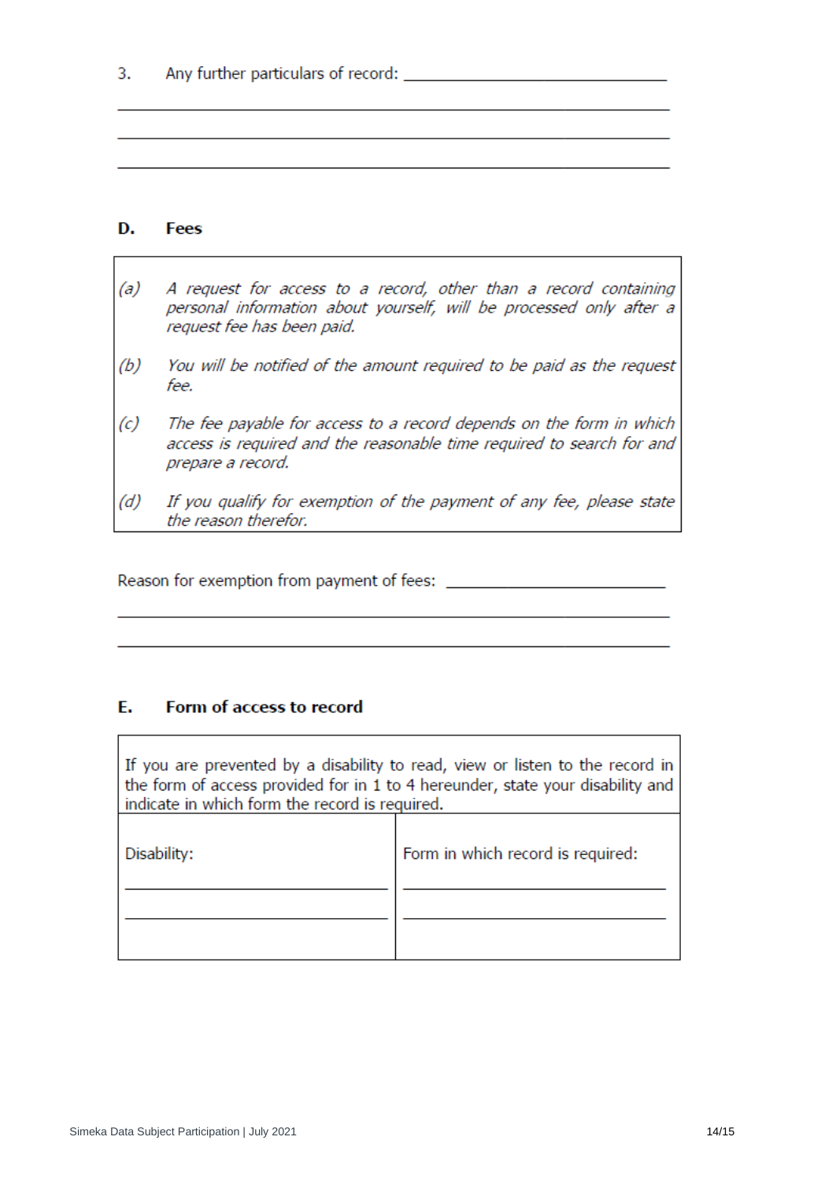#### D. **Fees**

- $(a)$ A request for access to a record, other than a record containing personal information about yourself, will be processed only after a request fee has been paid.
- $(b)$ You will be notified of the amount required to be paid as the request fee.
- $(c)$ The fee payable for access to a record depends on the form in which access is required and the reasonable time required to search for and prepare a record.
- $(d)$ If you qualify for exemption of the payment of any fee, please state the reason therefor.

#### E. Form of access to record

If you are prevented by a disability to read, view or listen to the record in the form of access provided for in 1 to 4 hereunder, state your disability and indicate in which form the record is required.

| Disability: | Form in which record is required: |
|-------------|-----------------------------------|
|             |                                   |